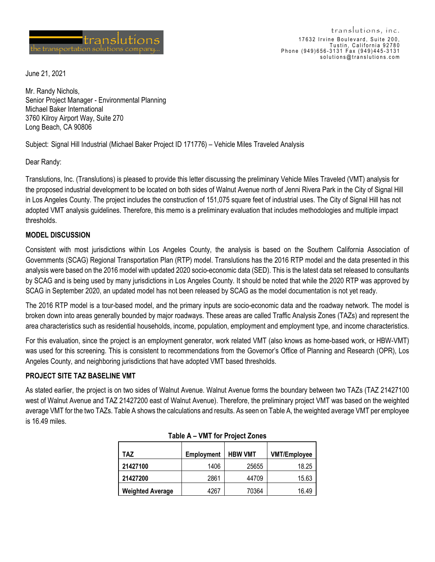

June 21, 2021

Mr. Randy Nichols, Senior Project Manager - Environmental Planning Michael Baker International 3760 Kilroy Airport Way, Suite 270 Long Beach, CA 90806

Subject: Signal Hill Industrial (Michael Baker Project ID 171776) – Vehicle Miles Traveled Analysis

Dear Randy:

Translutions, Inc. (Translutions) is pleased to provide this letter discussing the preliminary Vehicle Miles Traveled (VMT) analysis for the proposed industrial development to be located on both sides of Walnut Avenue north of Jenni Rivera Park in the City of Signal Hill in Los Angeles County. The project includes the construction of 151,075 square feet of industrial uses. The City of Signal Hill has not adopted VMT analysis guidelines. Therefore, this memo is a preliminary evaluation that includes methodologies and multiple impact thresholds.

## **MODEL DISCUSSION**

Consistent with most jurisdictions within Los Angeles County, the analysis is based on the Southern California Association of Governments (SCAG) Regional Transportation Plan (RTP) model. Translutions has the 2016 RTP model and the data presented in this analysis were based on the 2016 model with updated 2020 socio-economic data (SED). This is the latest data set released to consultants by SCAG and is being used by many jurisdictions in Los Angeles County. It should be noted that while the 2020 RTP was approved by SCAG in September 2020, an updated model has not been released by SCAG as the model documentation is not yet ready.

The 2016 RTP model is a tour-based model, and the primary inputs are socio-economic data and the roadway network. The model is broken down into areas generally bounded by major roadways. These areas are called Traffic Analysis Zones (TAZs) and represent the area characteristics such as residential households, income, population, employment and employment type, and income characteristics.

For this evaluation, since the project is an employment generator, work related VMT (also knows as home-based work, or HBW-VMT) was used for this screening. This is consistent to recommendations from the Governor's Office of Planning and Research (OPR), Los Angeles County, and neighboring jurisdictions that have adopted VMT based thresholds.

## **PROJECT SITE TAZ BASELINE VMT**

As stated earlier, the project is on two sides of Walnut Avenue. Walnut Avenue forms the boundary between two TAZs (TAZ 21427100 west of Walnut Avenue and TAZ 21427200 east of Walnut Avenue). Therefore, the preliminary project VMT was based on the weighted average VMT for the two TAZs. Table A shows the calculations and results. As seen on Table A, the weighted average VMT per employee is 16.49 miles.

| TAZ                     | Employment | <b>HBW VMT</b> | <b>VMT/Employee</b> |
|-------------------------|------------|----------------|---------------------|
|                         |            |                |                     |
| 21427100                | 1406       | 25655          | 18.25               |
| 21427200                | 2861       | 44709          | 15.63               |
| <b>Weighted Average</b> | 4267       | 70364          | 16.49               |

| Table A - VMT for Project Zones |
|---------------------------------|
|---------------------------------|